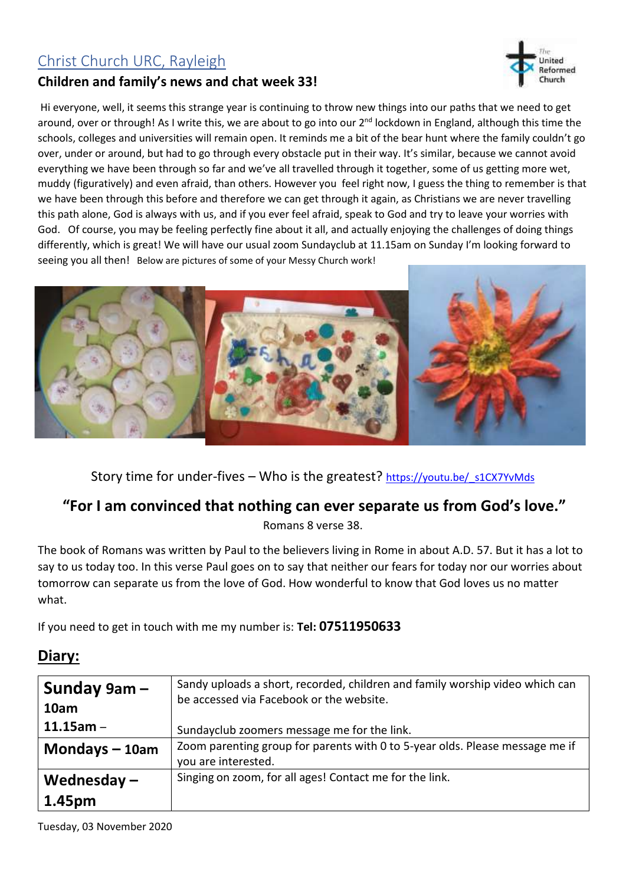## Christ Church URC, Rayleigh

## **Children and family's news and chat week 33!**



Hi everyone, well, it seems this strange year is continuing to throw new things into our paths that we need to get around, over or through! As I write this, we are about to go into our 2<sup>nd</sup> lockdown in England, although this time the schools, colleges and universities will remain open. It reminds me a bit of the bear hunt where the family couldn't go over, under or around, but had to go through every obstacle put in their way. It's similar, because we cannot avoid everything we have been through so far and we've all travelled through it together, some of us getting more wet, muddy (figuratively) and even afraid, than others. However you feel right now, I guess the thing to remember is that we have been through this before and therefore we can get through it again, as Christians we are never travelling this path alone, God is always with us, and if you ever feel afraid, speak to God and try to leave your worries with God. Of course, you may be feeling perfectly fine about it all, and actually enjoying the challenges of doing things differently, which is great! We will have our usual zoom Sundayclub at 11.15am on Sunday I'm looking forward to seeing you all then! Below are pictures of some of your Messy Church work!



Story time for under-fives - Who is the greatest? https://youtu.be/ s1CX7YvMds

## **"For I am convinced that nothing can ever separate us from God's love."**

Romans 8 verse 38.

The book of Romans was written by Paul to the believers living in Rome in about A.D. 57. But it has a lot to say to us today too. In this verse Paul goes on to say that neither our fears for today nor our worries about tomorrow can separate us from the love of God. How wonderful to know that God loves us no matter what.

If you need to get in touch with me my number is: **Tel: 07511950633**

## **Diary:**

| Sunday $9am -$<br>10am | Sandy uploads a short, recorded, children and family worship video which can<br>be accessed via Facebook or the website. |
|------------------------|--------------------------------------------------------------------------------------------------------------------------|
| $11.15$ am -           | Sundayclub zoomers message me for the link.                                                                              |
| Mondays $-10$ am       | Zoom parenting group for parents with 0 to 5-year olds. Please message me if<br>you are interested.                      |
| Wednesday $-$          | Singing on zoom, for all ages! Contact me for the link.                                                                  |
| 1.45pm                 |                                                                                                                          |